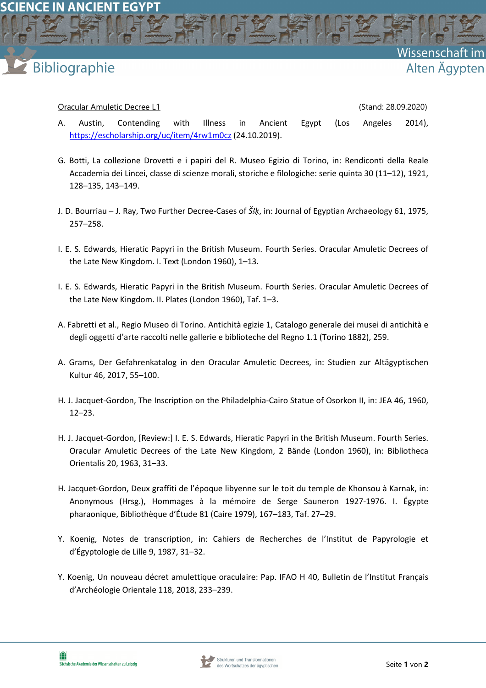**SCIENCE IN ANCIENT EGYPT** 

## **Bibliographie**

## Oracular Amuletic Decree L1 (Stand: 28.09.2020)

- A. Austin, Contending with Illness in Ancient Egypt (Los Angeles 2014), https://escholarship.org/uc/item/4rw1m0cz (24.10.2019).
- G. Botti, La collezione Drovetti e i papiri del R. Museo Egizio di Torino, in: Rendiconti della Reale Accademia dei Lincei, classe di scienze morali, storiche e filologiche: serie quinta 30 (11–12), 1921, 128–135, 143–149.
- J. D. Bourriau J. Ray, Two Further Decree-Cases of *ŠꜢḳ*, in: Journal of Egyptian Archaeology 61, 1975, 257–258.
- I. E. S. Edwards, Hieratic Papyri in the British Museum. Fourth Series. Oracular Amuletic Decrees of the Late New Kingdom. I. Text (London 1960), 1–13.
- I. E. S. Edwards, Hieratic Papyri in the British Museum. Fourth Series. Oracular Amuletic Decrees of the Late New Kingdom. II. Plates (London 1960), Taf. 1–3.
- A. Fabretti et al., Regio Museo di Torino. Antichità egizie 1, Catalogo generale dei musei di antichità e degli oggetti d'arte raccolti nelle gallerie e biblioteche del Regno 1.1 (Torino 1882), 259.
- A. Grams, Der Gefahrenkatalog in den Oracular Amuletic Decrees, in: Studien zur Altägyptischen Kultur 46, 2017, 55–100.
- H. J. Jacquet-Gordon, The Inscription on the Philadelphia-Cairo Statue of Osorkon II, in: JEA 46, 1960, 12–23.
- H. J. Jacquet-Gordon, [Review:] I. E. S. Edwards, Hieratic Papyri in the British Museum. Fourth Series. Oracular Amuletic Decrees of the Late New Kingdom, 2 Bände (London 1960), in: Bibliotheca Orientalis 20, 1963, 31–33.
- H. Jacquet-Gordon, Deux graffiti de l'époque libyenne sur le toit du temple de Khonsou à Karnak, in: Anonymous (Hrsg.), Hommages à la mémoire de Serge Sauneron 1927-1976. I. Égypte pharaonique, Bibliothèque d'Étude 81 (Caire 1979), 167–183, Taf. 27–29.
- Y. Koenig, Notes de transcription, in: Cahiers de Recherches de l'Institut de Papyrologie et d'Égyptologie de Lille 9, 1987, 31–32.
- Y. Koenig, Un nouveau décret amulettique oraculaire: Pap. IFAO H 40, Bulletin de l'Institut Français d'Archéologie Orientale 118, 2018, 233–239.



Wissenschaft

Alten Ägypten